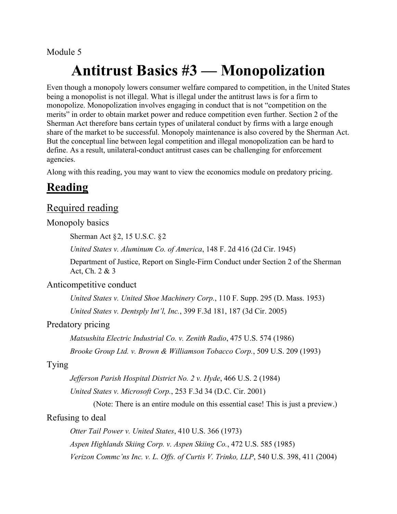#### Module 5

# **Antitrust Basics #3 — Monopolization**

Even though a monopoly lowers consumer welfare compared to competition, in the United States being a monopolist is not illegal. What is illegal under the antitrust laws is for a firm to monopolize. Monopolization involves engaging in conduct that is not "competition on the merits" in order to obtain market power and reduce competition even further. Section 2 of the Sherman Act therefore bans certain types of unilateral conduct by firms with a large enough share of the market to be successful. Monopoly maintenance is also covered by the Sherman Act. But the conceptual line between legal competition and illegal monopolization can be hard to define. As a result, unilateral-conduct antitrust cases can be challenging for enforcement agencies.

Along with this reading, you may want to view the economics module on predatory pricing.

## **Reading**

### Required reading

#### Monopoly basics

Sherman Act §2, 15 U.S.C. §2

*United States v. Aluminum Co. of America*, 148 F. 2d 416 (2d Cir. 1945)

Department of Justice, Report on Single-Firm Conduct under Section 2 of the Sherman Act, Ch. 2 & 3

#### Anticompetitive conduct

*United States v. United Shoe Machinery Corp.*, 110 F. Supp. 295 (D. Mass. 1953) *United States v. Dentsply Int'l, Inc.*, 399 F.3d 181, 187 (3d Cir. 2005)

#### Predatory pricing

*Matsushita Electric Industrial Co. v. Zenith Radio*, 475 U.S. 574 (1986)

*Brooke Group Ltd. v. Brown & Williamson Tobacco Corp.*, 509 U.S. 209 (1993)

#### Tying

*Jefferson Parish Hospital District No. 2 v. Hyde*, 466 U.S. 2 (1984)

*United States v. Microsoft Corp.*, 253 F.3d 34 (D.C. Cir. 2001)

(Note: There is an entire module on this essential case! This is just a preview.)

#### Refusing to deal

*Otter Tail Power v. United States*, 410 U.S. 366 (1973) *Aspen Highlands Skiing Corp. v. Aspen Skiing Co.*, 472 U.S. 585 (1985) *Verizon Commc'ns Inc. v. L. Offs. of Curtis V. Trinko, LLP*, 540 U.S. 398, 411 (2004)